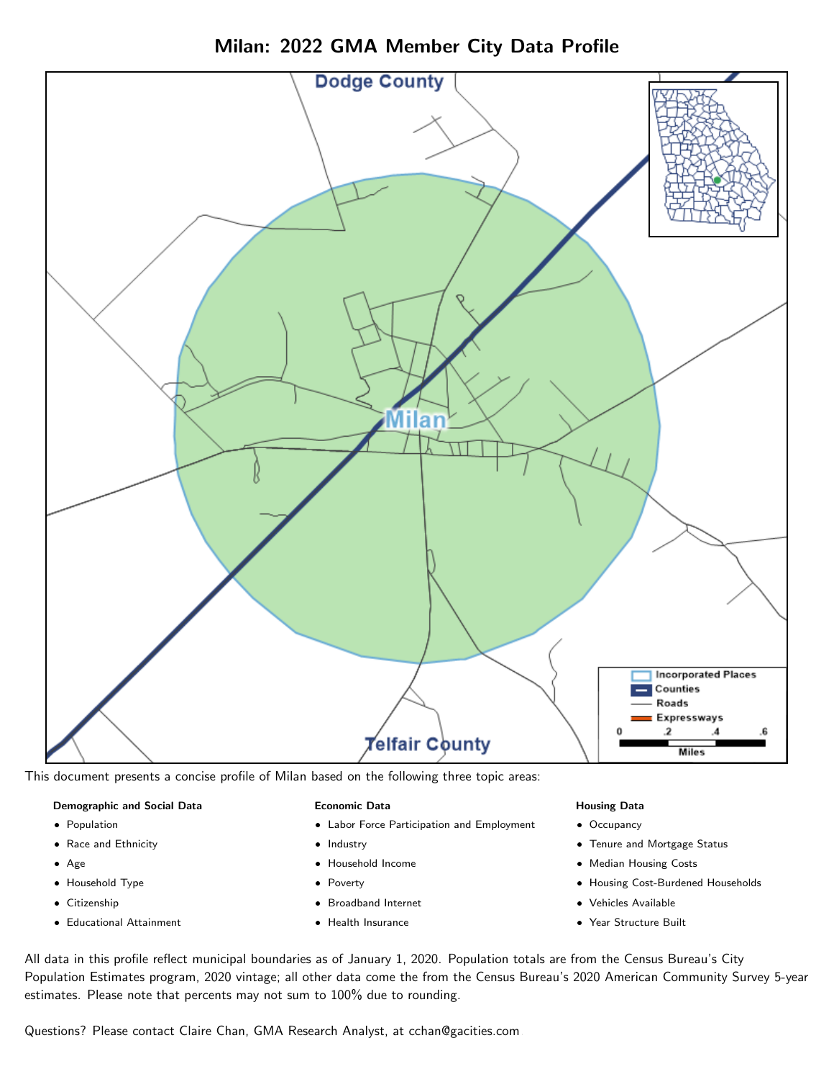

Milan: 2022 GMA Member City Data Profile

This document presents a concise profile of Milan based on the following three topic areas:

#### Demographic and Social Data

- **•** Population
- Race and Ethnicity
- Age
- Household Type
- **Citizenship**
- Educational Attainment

#### Economic Data

- Labor Force Participation and Employment
- Industry
- Household Income
- Poverty
- Broadband Internet
- Health Insurance

#### Housing Data

- Occupancy
- Tenure and Mortgage Status
- Median Housing Costs
- Housing Cost-Burdened Households
- Vehicles Available
- $\bullet$ Year Structure Built

All data in this profile reflect municipal boundaries as of January 1, 2020. Population totals are from the Census Bureau's City Population Estimates program, 2020 vintage; all other data come the from the Census Bureau's 2020 American Community Survey 5-year estimates. Please note that percents may not sum to 100% due to rounding.

Questions? Please contact Claire Chan, GMA Research Analyst, at [cchan@gacities.com.](mailto:cchan@gacities.com)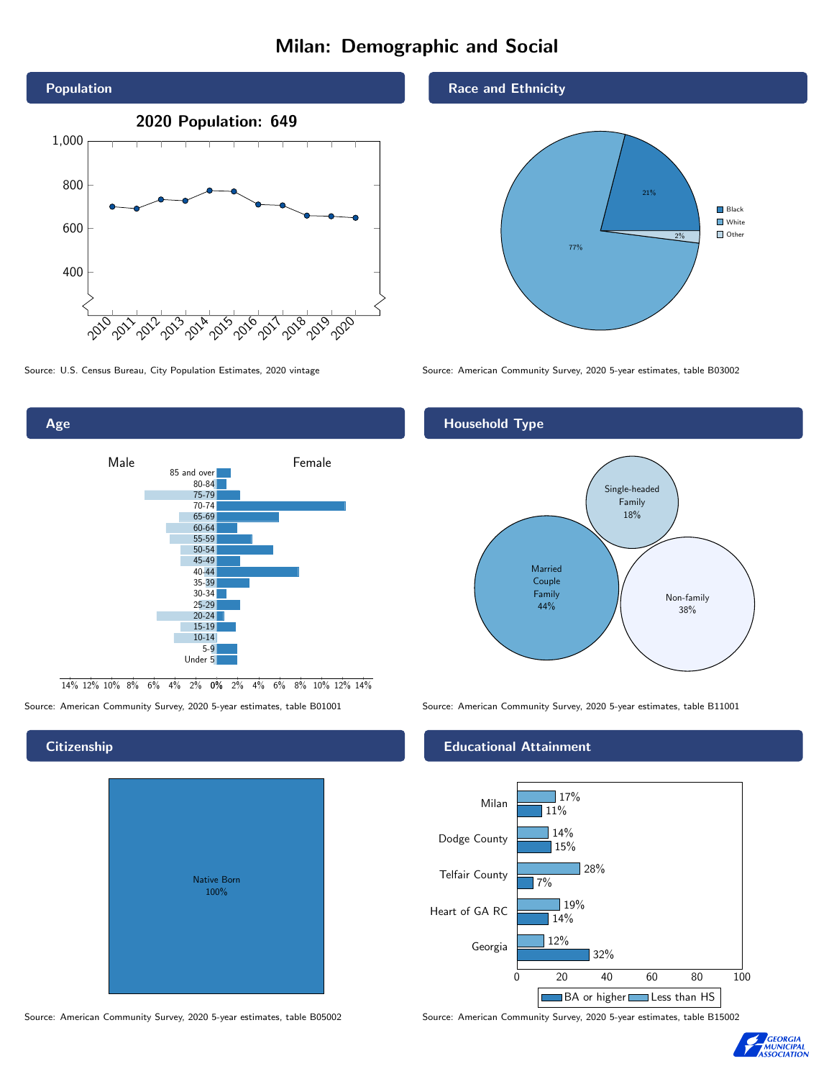# Milan: Demographic and Social



Male **Female** 85 and over 80-84 75-79 70-74 65-69 60-64 55-59 50-54 45-49 40-44 35-39 30-34 25-29 20-24 15-19  $10-14$ 5-9 Under 5

0% 2% 4% 6% 8% 10% 12% 14% 14% 12% 10% 8% 6% 4% 2%

# **Citizenship**

Age

| Native Born<br>100% |  |
|---------------------|--|
|                     |  |

Race and Ethnicity



Source: U.S. Census Bureau, City Population Estimates, 2020 vintage Source: American Community Survey, 2020 5-year estimates, table B03002

#### Household Type



Source: American Community Survey, 2020 5-year estimates, table B01001 Source: American Community Survey, 2020 5-year estimates, table B11001

#### Educational Attainment



Source: American Community Survey, 2020 5-year estimates, table B05002 Source: American Community Survey, 2020 5-year estimates, table B15002

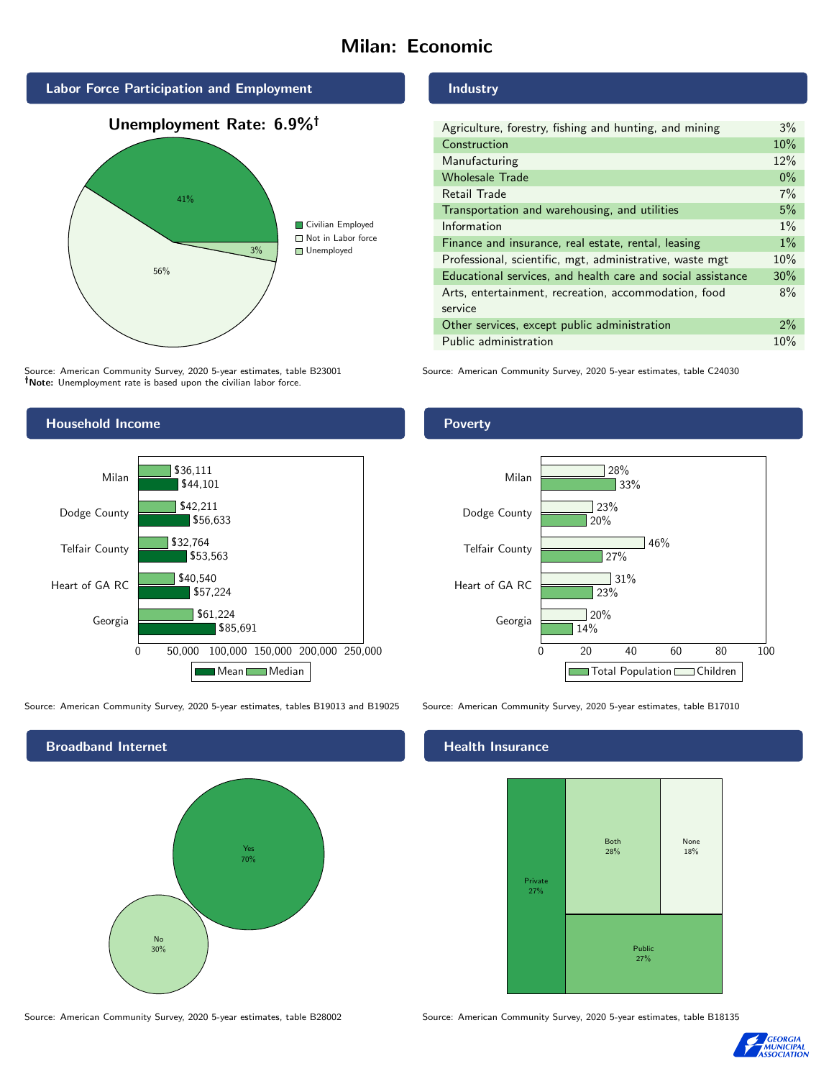# Milan: Economic



Source: American Community Survey, 2020 5-year estimates, table B23001 Note: Unemployment rate is based upon the civilian labor force.

#### Industry

| Agriculture, forestry, fishing and hunting, and mining      | $3\%$ |  |
|-------------------------------------------------------------|-------|--|
| Construction                                                | 10%   |  |
| Manufacturing                                               | 12%   |  |
| <b>Wholesale Trade</b>                                      | $0\%$ |  |
| Retail Trade                                                | 7%    |  |
| Transportation and warehousing, and utilities               |       |  |
| Information                                                 | $1\%$ |  |
| Finance and insurance, real estate, rental, leasing         |       |  |
| Professional, scientific, mgt, administrative, waste mgt    |       |  |
| Educational services, and health care and social assistance |       |  |
| Arts, entertainment, recreation, accommodation, food        |       |  |
| service                                                     |       |  |
| Other services, except public administration                |       |  |
| Public administration                                       |       |  |

Source: American Community Survey, 2020 5-year estimates, table C24030



Source: American Community Survey, 2020 5-year estimates, tables B19013 and B19025 Source: American Community Survey, 2020 5-year estimates, table B17010



Poverty



#### Health Insurance



Source: American Community Survey, 2020 5-year estimates, table B28002 Source: American Community Survey, 2020 5-year estimates, table B18135